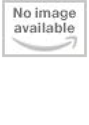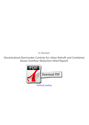*N. Weinstein*

**Decentralized Stormwater Controls for Urban Retrofit and Combined Sewer Overflow Reduction (Werf Report)**

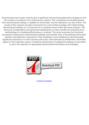Decentralized stormwater controls give a significant and promising alternative strategy to limit the number of overflows from mixed sewer systems. The comprehensive benefits gained from decentralized settings, in addition to stormwater volume reductions, are also shown. The results of the research provide a framework for communities to begin with implementing decentralized settings as a component of a combined sewer inflow decrease program. The technical considerations and perceived impediments of urban retrofits are analyzed and a methodology for modeling effectiveness is outlined. This study evaluates the functional procedures employed by decentralized settings and possible ways of quantifying stormwater retention and detention mechanisms. Pilot installations and modeling are demonstrating significant reductions in runoff volumes particularly when directed at problematic catchment regions of the collection system. Analytical assessments of categorical settings are provided to aid in the selection of appropriate decentralized techniques and strategies.



[continue reading](http://bit.ly/2Tge8Fv)